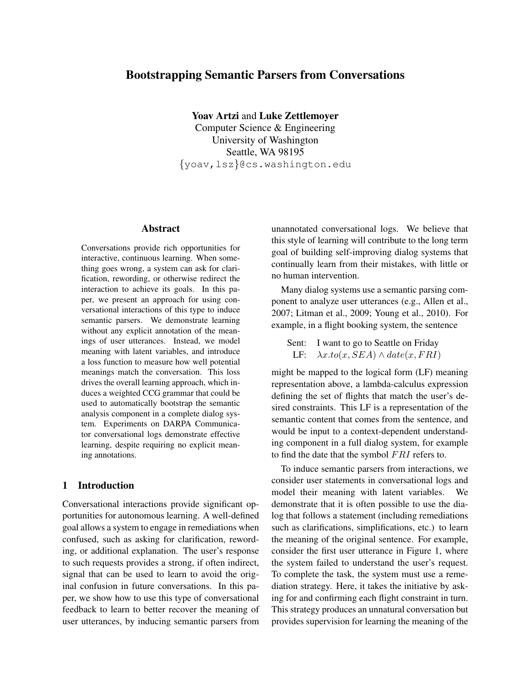# Bootstrapping Semantic Parsers from Conversations

Yoav Artzi and Luke Zettlemoyer Computer Science & Engineering University of Washington

Seattle, WA 98195 {yoav,lsz}@cs.washington.edu

## Abstract

Conversations provide rich opportunities for interactive, continuous learning. When something goes wrong, a system can ask for clarification, rewording, or otherwise redirect the interaction to achieve its goals. In this paper, we present an approach for using conversational interactions of this type to induce semantic parsers. We demonstrate learning without any explicit annotation of the meanings of user utterances. Instead, we model meaning with latent variables, and introduce a loss function to measure how well potential meanings match the conversation. This loss drives the overall learning approach, which induces a weighted CCG grammar that could be used to automatically bootstrap the semantic analysis component in a complete dialog system. Experiments on DARPA Communicator conversational logs demonstrate effective learning, despite requiring no explicit meaning annotations.

## 1 Introduction

Conversational interactions provide significant opportunities for autonomous learning. A well-defined goal allows a system to engage in remediations when confused, such as asking for clarification, rewording, or additional explanation. The user's response to such requests provides a strong, if often indirect, signal that can be used to learn to avoid the original confusion in future conversations. In this paper, we show how to use this type of conversational feedback to learn to better recover the meaning of user utterances, by inducing semantic parsers from unannotated conversational logs. We believe that this style of learning will contribute to the long term goal of building self-improving dialog systems that continually learn from their mistakes, with little or no human intervention.

Many dialog systems use a semantic parsing component to analyze user utterances (e.g., Allen et al., 2007; Litman et al., 2009; Young et al., 2010). For example, in a flight booking system, the sentence

Sent: I want to go to Seattle on Friday LF:  $\lambda x. to (x, SEM) \wedge date (x, FRI)$ 

might be mapped to the logical form (LF) meaning representation above, a lambda-calculus expression defining the set of flights that match the user's desired constraints. This LF is a representation of the semantic content that comes from the sentence, and would be input to a context-dependent understanding component in a full dialog system, for example to find the date that the symbol FRI refers to.

To induce semantic parsers from interactions, we consider user statements in conversational logs and model their meaning with latent variables. We demonstrate that it is often possible to use the dialog that follows a statement (including remediations such as clarifications, simplifications, etc.) to learn the meaning of the original sentence. For example, consider the first user utterance in Figure 1, where the system failed to understand the user's request. To complete the task, the system must use a remediation strategy. Here, it takes the initiative by asking for and confirming each flight constraint in turn. This strategy produces an unnatural conversation but provides supervision for learning the meaning of the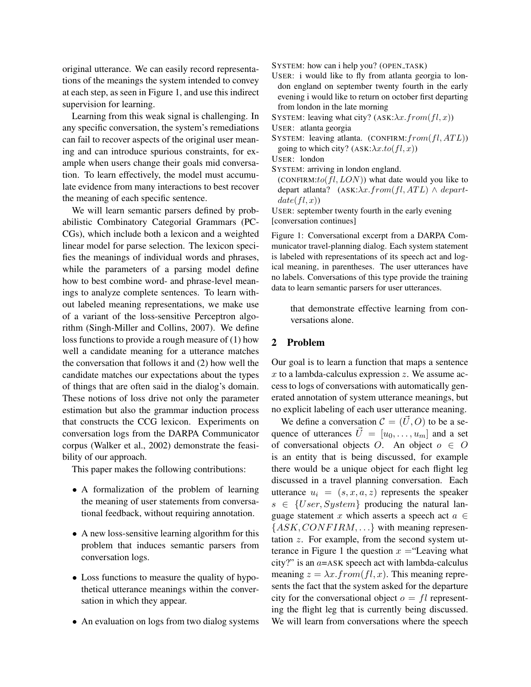original utterance. We can easily record representations of the meanings the system intended to convey at each step, as seen in Figure 1, and use this indirect supervision for learning.

Learning from this weak signal is challenging. In any specific conversation, the system's remediations can fail to recover aspects of the original user meaning and can introduce spurious constraints, for example when users change their goals mid conversation. To learn effectively, the model must accumulate evidence from many interactions to best recover the meaning of each specific sentence.

We will learn semantic parsers defined by probabilistic Combinatory Categorial Grammars (PC-CGs), which include both a lexicon and a weighted linear model for parse selection. The lexicon specifies the meanings of individual words and phrases, while the parameters of a parsing model define how to best combine word- and phrase-level meanings to analyze complete sentences. To learn without labeled meaning representations, we make use of a variant of the loss-sensitive Perceptron algorithm (Singh-Miller and Collins, 2007). We define loss functions to provide a rough measure of (1) how well a candidate meaning for a utterance matches the conversation that follows it and (2) how well the candidate matches our expectations about the types of things that are often said in the dialog's domain. These notions of loss drive not only the parameter estimation but also the grammar induction process that constructs the CCG lexicon. Experiments on conversation logs from the DARPA Communicator corpus (Walker et al., 2002) demonstrate the feasibility of our approach.

This paper makes the following contributions:

- A formalization of the problem of learning the meaning of user statements from conversational feedback, without requiring annotation.
- A new loss-sensitive learning algorithm for this problem that induces semantic parsers from conversation logs.
- Loss functions to measure the quality of hypothetical utterance meanings within the conversation in which they appear.
- An evaluation on logs from two dialog systems

SYSTEM: how can i help you? (OPEN TASK)

- USER: i would like to fly from atlanta georgia to london england on september twenty fourth in the early evening i would like to return on october first departing from london in the late morning
- SYSTEM: leaving what city? (ASK: $\lambda x. from (fl, x)$ )
- USER: atlanta georgia
- SYSTEM: leaving atlanta. (CONFIRM:  $from (fl, ATL))$ going to which city? (ASK: $\lambda x. to (fl, x)$ )
- USER: london
- SYSTEM: arriving in london england.
	- (CONFIRM: $to (fl, LON)$ ) what date would you like to depart atlanta? (ASK: $\lambda x. from (fl, ATL) \wedge depart$  $date(fl,x))$

USER: september twenty fourth in the early evening [conversation continues]

Figure 1: Conversational excerpt from a DARPA Communicator travel-planning dialog. Each system statement is labeled with representations of its speech act and logical meaning, in parentheses. The user utterances have no labels. Conversations of this type provide the training data to learn semantic parsers for user utterances.

that demonstrate effective learning from conversations alone.

#### 2 Problem

Our goal is to learn a function that maps a sentence  $x$  to a lambda-calculus expression  $z$ . We assume access to logs of conversations with automatically generated annotation of system utterance meanings, but no explicit labeling of each user utterance meaning.

We define a conversation  $\mathcal{C} = (\vec{U}, O)$  to be a sequence of utterances  $\vec{U} = [u_0, \dots, u_m]$  and a set of conversational objects O. An object  $o \in O$ is an entity that is being discussed, for example there would be a unique object for each flight leg discussed in a travel planning conversation. Each utterance  $u_i = (s, x, a, z)$  represents the speaker  $s \in \{User, System\}$  producing the natural language statement x which asserts a speech act  $a \in$  ${ASK, CONFIRM, ...}$  with meaning representation z. For example, from the second system utterance in Figure 1 the question  $x =$ "Leaving what city?" is an  $a=ASK$  speech act with lambda-calculus meaning  $z = \lambda x$ .  $from (fl, x)$ . This meaning represents the fact that the system asked for the departure city for the conversational object  $o = fl$  representing the flight leg that is currently being discussed. We will learn from conversations where the speech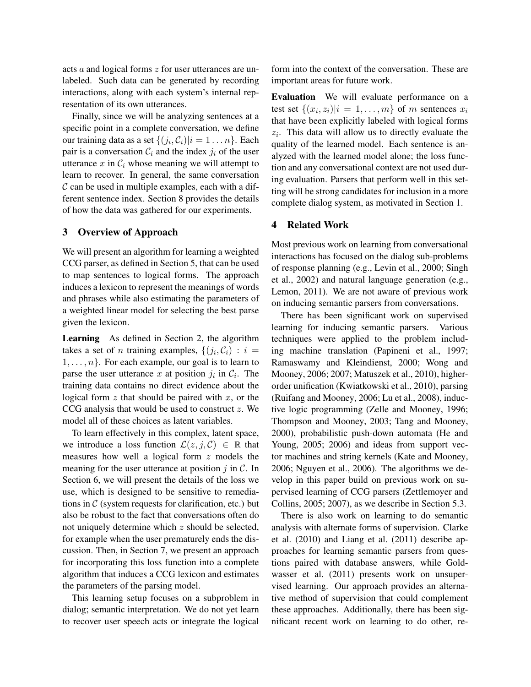acts a and logical forms z for user utterances are unlabeled. Such data can be generated by recording interactions, along with each system's internal representation of its own utterances.

Finally, since we will be analyzing sentences at a specific point in a complete conversation, we define our training data as a set  $\{(j_i, \mathcal{C}_i)|i=1 \dots n\}$ . Each pair is a conversation  $C_i$  and the index  $j_i$  of the user utterance  $x$  in  $\mathcal{C}_i$  whose meaning we will attempt to learn to recover. In general, the same conversation  $\mathcal C$  can be used in multiple examples, each with a different sentence index. Section 8 provides the details of how the data was gathered for our experiments.

#### 3 Overview of Approach

We will present an algorithm for learning a weighted CCG parser, as defined in Section 5, that can be used to map sentences to logical forms. The approach induces a lexicon to represent the meanings of words and phrases while also estimating the parameters of a weighted linear model for selecting the best parse given the lexicon.

Learning As defined in Section 2, the algorithm takes a set of *n* training examples,  $\{(j_i, C_i) : i =$  $1, \ldots, n$ . For each example, our goal is to learn to parse the user utterance x at position  $j_i$  in  $\mathcal{C}_i$ . The training data contains no direct evidence about the logical form  $z$  that should be paired with  $x$ , or the CCG analysis that would be used to construct z. We model all of these choices as latent variables.

To learn effectively in this complex, latent space, we introduce a loss function  $\mathcal{L}(z, j, \mathcal{C}) \in \mathbb{R}$  that measures how well a logical form z models the meaning for the user utterance at position  $j$  in  $\mathcal{C}$ . In Section 6, we will present the details of the loss we use, which is designed to be sensitive to remediations in  $\mathcal C$  (system requests for clarification, etc.) but also be robust to the fact that conversations often do not uniquely determine which z should be selected, for example when the user prematurely ends the discussion. Then, in Section 7, we present an approach for incorporating this loss function into a complete algorithm that induces a CCG lexicon and estimates the parameters of the parsing model.

This learning setup focuses on a subproblem in dialog; semantic interpretation. We do not yet learn to recover user speech acts or integrate the logical

form into the context of the conversation. These are important areas for future work.

Evaluation We will evaluate performance on a test set  $\{(x_i, z_i)|i = 1, \ldots, m\}$  of m sentences  $x_i$ that have been explicitly labeled with logical forms  $z_i$ . This data will allow us to directly evaluate the quality of the learned model. Each sentence is analyzed with the learned model alone; the loss function and any conversational context are not used during evaluation. Parsers that perform well in this setting will be strong candidates for inclusion in a more complete dialog system, as motivated in Section 1.

### 4 Related Work

Most previous work on learning from conversational interactions has focused on the dialog sub-problems of response planning (e.g., Levin et al., 2000; Singh et al., 2002) and natural language generation (e.g., Lemon, 2011). We are not aware of previous work on inducing semantic parsers from conversations.

There has been significant work on supervised learning for inducing semantic parsers. Various techniques were applied to the problem including machine translation (Papineni et al., 1997; Ramaswamy and Kleindienst, 2000; Wong and Mooney, 2006; 2007; Matuszek et al., 2010), higherorder unification (Kwiatkowski et al., 2010), parsing (Ruifang and Mooney, 2006; Lu et al., 2008), inductive logic programming (Zelle and Mooney, 1996; Thompson and Mooney, 2003; Tang and Mooney, 2000), probabilistic push-down automata (He and Young, 2005; 2006) and ideas from support vector machines and string kernels (Kate and Mooney, 2006; Nguyen et al., 2006). The algorithms we develop in this paper build on previous work on supervised learning of CCG parsers (Zettlemoyer and Collins, 2005; 2007), as we describe in Section 5.3.

There is also work on learning to do semantic analysis with alternate forms of supervision. Clarke et al. (2010) and Liang et al. (2011) describe approaches for learning semantic parsers from questions paired with database answers, while Goldwasser et al. (2011) presents work on unsupervised learning. Our approach provides an alternative method of supervision that could complement these approaches. Additionally, there has been significant recent work on learning to do other, re-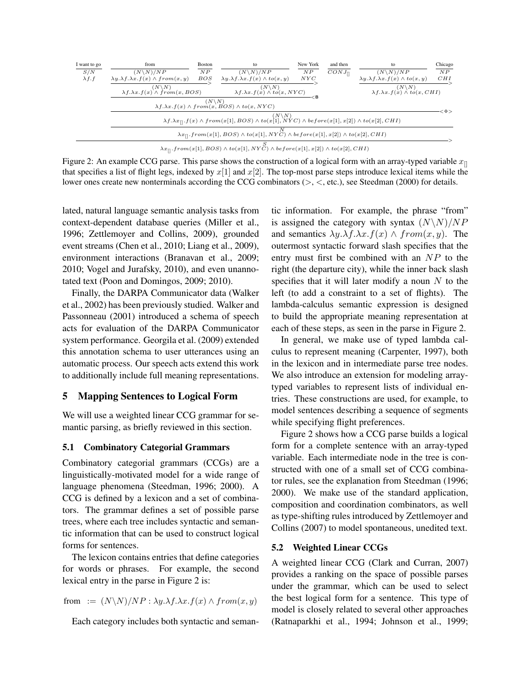

 $\lambda x_{[]}$ .from(x[1], BOS)  $\land$  to(x[1], NYC)  $\land$  before(x[1], x[2])  $\land$  to(x[2], CHI)

Figure 2: An example CCG parse. This parse shows the construction of a logical form with an array-typed variable  $x_{\parallel}$ that specifies a list of flight legs, indexed by  $x[1]$  and  $x[2]$ . The top-most parse steps introduce lexical items while the lower ones create new nonterminals according the CCG combinators (>, <, etc.), see Steedman (2000) for details.

lated, natural language semantic analysis tasks from context-dependent database queries (Miller et al., 1996; Zettlemoyer and Collins, 2009), grounded event streams (Chen et al., 2010; Liang et al., 2009), environment interactions (Branavan et al., 2009; 2010; Vogel and Jurafsky, 2010), and even unannotated text (Poon and Domingos, 2009; 2010).

Finally, the DARPA Communicator data (Walker et al., 2002) has been previously studied. Walker and Passonneau (2001) introduced a schema of speech acts for evaluation of the DARPA Communicator system performance. Georgila et al. (2009) extended this annotation schema to user utterances using an automatic process. Our speech acts extend this work to additionally include full meaning representations.

#### 5 Mapping Sentences to Logical Form

We will use a weighted linear CCG grammar for semantic parsing, as briefly reviewed in this section.

#### 5.1 Combinatory Categorial Grammars

Combinatory categorial grammars (CCGs) are a linguistically-motivated model for a wide range of language phenomena (Steedman, 1996; 2000). A CCG is defined by a lexicon and a set of combinators. The grammar defines a set of possible parse trees, where each tree includes syntactic and semantic information that can be used to construct logical forms for sentences.

The lexicon contains entries that define categories for words or phrases. For example, the second lexical entry in the parse in Figure 2 is:

from := 
$$
(N \setminus N)/NP : \lambda y.\lambda f.\lambda x.f(x) \wedge from(x, y)
$$

Each category includes both syntactic and seman-

tic information. For example, the phrase "from" is assigned the category with syntax  $(N\N) / NP$ and semantics  $\lambda y.\lambda f.\lambda x.f(x) \wedge from(x, y)$ . The outermost syntactic forward slash specifies that the entry must first be combined with an  $NP$  to the right (the departure city), while the inner back slash specifies that it will later modify a noun  $N$  to the left (to add a constraint to a set of flights). The lambda-calculus semantic expression is designed to build the appropriate meaning representation at each of these steps, as seen in the parse in Figure 2.

In general, we make use of typed lambda calculus to represent meaning (Carpenter, 1997), both in the lexicon and in intermediate parse tree nodes. We also introduce an extension for modeling arraytyped variables to represent lists of individual entries. These constructions are used, for example, to model sentences describing a sequence of segments while specifying flight preferences.

Figure 2 shows how a CCG parse builds a logical form for a complete sentence with an array-typed variable. Each intermediate node in the tree is constructed with one of a small set of CCG combinator rules, see the explanation from Steedman (1996; 2000). We make use of the standard application, composition and coordination combinators, as well as type-shifting rules introduced by Zettlemoyer and Collins (2007) to model spontaneous, unedited text.

#### 5.2 Weighted Linear CCGs

A weighted linear CCG (Clark and Curran, 2007) provides a ranking on the space of possible parses under the grammar, which can be used to select the best logical form for a sentence. This type of model is closely related to several other approaches (Ratnaparkhi et al., 1994; Johnson et al., 1999;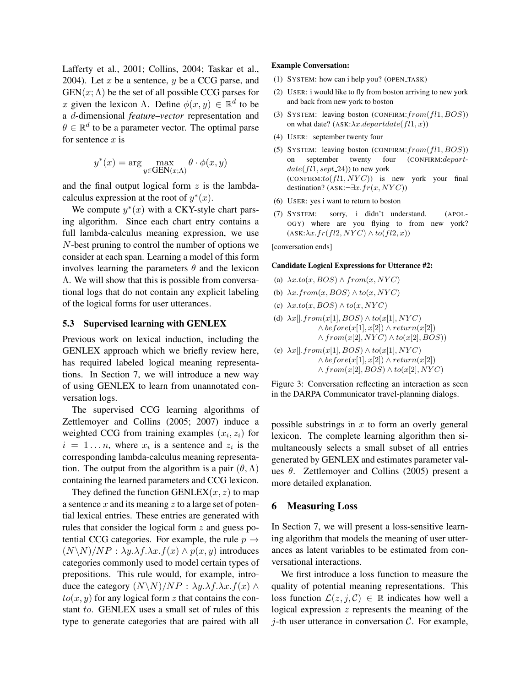Lafferty et al., 2001; Collins, 2004; Taskar et al., 2004). Let  $x$  be a sentence,  $y$  be a CCG parse, and  $GEN(x; \Lambda)$  be the set of all possible CCG parses for x given the lexicon  $\Lambda$ . Define  $\phi(x, y) \in \mathbb{R}^d$  to be a d-dimensional *feature–vector* representation and  $\theta \in \mathbb{R}^d$  to be a parameter vector. The optimal parse for sentence  $x$  is

$$
y^*(x) = \arg\max_{y\in \text{GEN}(x; \Lambda)} \theta \cdot \phi(x, y)
$$

and the final output logical form  $z$  is the lambdacalculus expression at the root of  $y^*(x)$ .

We compute  $y^*(x)$  with a CKY-style chart parsing algorithm. Since each chart entry contains a full lambda-calculus meaning expression, we use N-best pruning to control the number of options we consider at each span. Learning a model of this form involves learning the parameters  $\theta$  and the lexicon Λ. We will show that this is possible from conversational logs that do not contain any explicit labeling of the logical forms for user utterances.

#### 5.3 Supervised learning with GENLEX

Previous work on lexical induction, including the GENLEX approach which we briefly review here, has required labeled logical meaning representations. In Section 7, we will introduce a new way of using GENLEX to learn from unannotated conversation logs.

The supervised CCG learning algorithms of Zettlemoyer and Collins (2005; 2007) induce a weighted CCG from training examples  $(x_i, z_i)$  for  $i = 1...n$ , where  $x_i$  is a sentence and  $z_i$  is the corresponding lambda-calculus meaning representation. The output from the algorithm is a pair  $(\theta, \Lambda)$ containing the learned parameters and CCG lexicon.

They defined the function GENLEX $(x, z)$  to map a sentence  $x$  and its meaning  $z$  to a large set of potential lexical entries. These entries are generated with rules that consider the logical form z and guess potential CCG categories. For example, the rule  $p \rightarrow$  $(N\N)/NP$  :  $\lambda y.\lambda f.\lambda x.f(x) \wedge p(x,y)$  introduces categories commonly used to model certain types of prepositions. This rule would, for example, introduce the category  $(N\N)/NP$  :  $\lambda y.\lambda f.\lambda x.f(x)$  ∧  $to(x, y)$  for any logical form z that contains the constant to. GENLEX uses a small set of rules of this type to generate categories that are paired with all

#### Example Conversation:

- (1) SYSTEM: how can i help you? (OPEN TASK)
- (2) USER: i would like to fly from boston arriving to new york and back from new york to boston
- (3) SYSTEM: leaving boston (CONFIRM:  $from (fl1, BOS)$ ) on what date? (ASK: $\lambda x.departdate(fl1, x)$ )
- (4) USER: september twenty four
- (5) SYSTEM: leaving boston (CONFIRM:  $from (fl1, BOS)$ ) on september twenty four (CONFIRM:depart $date(f11, sept_24)$  to new york  $(CONFIRM:to(fl1, NYC))$  is new york your final destination? ( $ASK:\neg \exists x.fr(x, NYC)$ )
- (6) USER: yes i want to return to boston
- (7) SYSTEM: sorry, i didn't understand. (APOL-OGY) where are you flying to from new york?  $(ASK:\lambda x. fr(f12, NYC) \wedge to(f12, x))$

[conversation ends]

#### Candidate Logical Expressions for Utterance #2:

- (a)  $\lambda x. to(x, BOS) \wedge from(x, NYC)$
- (b)  $\lambda x. from(x, BOS) \wedge to(x, NYC)$
- (c)  $\lambda x. to (x, BOS) \wedge to (x, NYC)$

(d) 
$$
\lambda x[] \cdot from(x[1], BOS) \wedge to(x[1], NYC)
$$
  
\n $\wedge$   $before(x[1], x[2]) \wedge return(x[2])$   
\n $\wedge from(x[2], NYC) \wedge to(x[2], BOS)$   
\n(e)  $\lambda x[] \cdot from(x[1], BOS) \wedge to(x[1], NYC)$ 

 $\wedge \text{before}(x[1], x[2]) \wedge \text{return}(x[2])$  $\land from(x[2], BOS) \land to(x[2], NYC)$ 

Figure 3: Conversation reflecting an interaction as seen in the DARPA Communicator travel-planning dialogs.

possible substrings in  $x$  to form an overly general lexicon. The complete learning algorithm then simultaneously selects a small subset of all entries generated by GENLEX and estimates parameter values  $\theta$ . Zettlemoyer and Collins (2005) present a more detailed explanation.

#### 6 Measuring Loss

In Section 7, we will present a loss-sensitive learning algorithm that models the meaning of user utterances as latent variables to be estimated from conversational interactions.

We first introduce a loss function to measure the quality of potential meaning representations. This loss function  $\mathcal{L}(z, j, \mathcal{C}) \in \mathbb{R}$  indicates how well a logical expression  $z$  represents the meaning of the  $j$ -th user utterance in conversation  $\mathcal{C}$ . For example,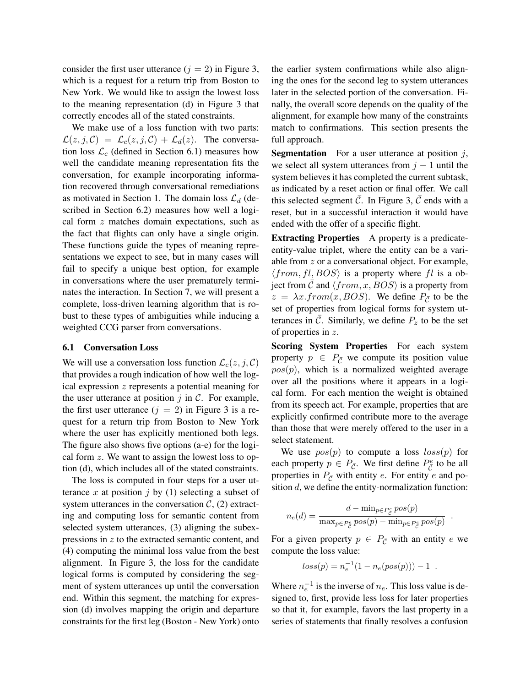consider the first user utterance  $(j = 2)$  in Figure 3, which is a request for a return trip from Boston to New York. We would like to assign the lowest loss to the meaning representation (d) in Figure 3 that correctly encodes all of the stated constraints.

We make use of a loss function with two parts:  $\mathcal{L}(z, j, \mathcal{C}) = \mathcal{L}_c(z, j, \mathcal{C}) + \mathcal{L}_d(z)$ . The conversation loss  $\mathcal{L}_c$  (defined in Section 6.1) measures how well the candidate meaning representation fits the conversation, for example incorporating information recovered through conversational remediations as motivated in Section 1. The domain loss  $\mathcal{L}_d$  (described in Section 6.2) measures how well a logical form z matches domain expectations, such as the fact that flights can only have a single origin. These functions guide the types of meaning representations we expect to see, but in many cases will fail to specify a unique best option, for example in conversations where the user prematurely terminates the interaction. In Section 7, we will present a complete, loss-driven learning algorithm that is robust to these types of ambiguities while inducing a weighted CCG parser from conversations.

#### 6.1 Conversation Loss

We will use a conversation loss function  $\mathcal{L}_c(z, j, \mathcal{C})$ that provides a rough indication of how well the logical expression z represents a potential meaning for the user utterance at position  $j$  in  $\mathcal{C}$ . For example, the first user utterance  $(j = 2)$  in Figure 3 is a request for a return trip from Boston to New York where the user has explicitly mentioned both legs. The figure also shows five options (a-e) for the logical form  $z$ . We want to assign the lowest loss to option (d), which includes all of the stated constraints.

The loss is computed in four steps for a user utterance x at position j by (1) selecting a subset of system utterances in the conversation  $C$ , (2) extracting and computing loss for semantic content from selected system utterances, (3) aligning the subexpressions in z to the extracted semantic content, and (4) computing the minimal loss value from the best alignment. In Figure 3, the loss for the candidate logical forms is computed by considering the segment of system utterances up until the conversation end. Within this segment, the matching for expression (d) involves mapping the origin and departure constraints for the first leg (Boston - New York) onto

the earlier system confirmations while also aligning the ones for the second leg to system utterances later in the selected portion of the conversation. Finally, the overall score depends on the quality of the alignment, for example how many of the constraints match to confirmations. This section presents the full approach.

**Segmentation** For a user utterance at position  $j$ , we select all system utterances from  $j - 1$  until the system believes it has completed the current subtask, as indicated by a reset action or final offer. We call this selected segment  $\overline{C}$ . In Figure 3,  $\overline{C}$  ends with a reset, but in a successful interaction it would have ended with the offer of a specific flight.

Extracting Properties A property is a predicateentity-value triplet, where the entity can be a variable from z or a conversational object. For example,  $\langle from, fl, BOS \rangle$  is a property where fl is a object from C and  $\langle from, x, BOS \rangle$  is a property from  $z = \lambda x. from (x, BOS)$ . We define  $P_{\bar{C}}$  to be the set of properties from logical forms for system utterances in C. Similarly, we define  $P_z$  to be the set of properties in z.

Scoring System Properties For each system property  $p \in P_{\overline{C}}$  we compute its position value  $pos(p)$ , which is a normalized weighted average over all the positions where it appears in a logical form. For each mention the weight is obtained from its speech act. For example, properties that are explicitly confirmed contribute more to the average than those that were merely offered to the user in a select statement.

We use  $pos(p)$  to compute a loss  $loss(p)$  for each property  $p \in P_{\bar{C}}$ . We first define  $P_{\bar{C}}^e$  to be all properties in  $P_{\bar{C}}$  with entity e. For entity e and position  $d$ , we define the entity-normalization function:

$$
n_e(d) = \frac{d - \min_{p \in P_{\tilde{C}}^e} pos(p)}{\max_{p \in P_{\tilde{C}}^e} pos(p) - \min_{p \in P_{\tilde{C}}^e} pos(p)}
$$

.

For a given property  $p \in P_{\overline{C}}$  with an entity e we compute the loss value:

$$
loss(p) = n_e^{-1}(1 - n_e(pos(p))) - 1.
$$

Where  $n_e^{-1}$  is the inverse of  $n_e$ . This loss value is designed to, first, provide less loss for later properties so that it, for example, favors the last property in a series of statements that finally resolves a confusion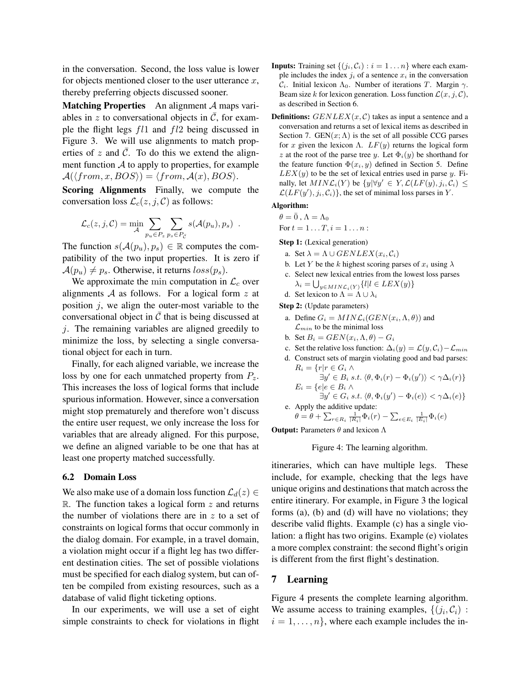in the conversation. Second, the loss value is lower for objects mentioned closer to the user utterance  $x$ , thereby preferring objects discussed sooner.

Matching Properties An alignment A maps variables in z to conversational objects in  $\overline{C}$ , for example the flight legs fl1 and fl2 being discussed in Figure 3. We will use alignments to match properties of z and  $\overline{C}$ . To do this we extend the alignment function  $\mathcal A$  to apply to properties, for example  $\mathcal{A}(\langle from, x, BOS \rangle) = \langle from, \mathcal{A}(x), BOS \rangle.$ 

Scoring Alignments Finally, we compute the conversation loss  $\mathcal{L}_c(z, j, \mathcal{C})$  as follows:

$$
\mathcal{L}_c(z,j,\mathcal{C}) = \min_{\mathcal{A}} \sum_{p_u \in P_z} \sum_{p_s \in P_{\bar{\mathcal{C}}}} s(\mathcal{A}(p_u), p_s) .
$$

The function  $s(A(p_u), p_s) \in \mathbb{R}$  computes the compatibility of the two input properties. It is zero if  $\mathcal{A}(p_u) \neq p_s$ . Otherwise, it returns  $loss(p_s)$ .

We approximate the min computation in  $\mathcal{L}_c$  over alignments  $A$  as follows. For a logical form  $z$  at position  $j$ , we align the outer-most variable to the conversational object in  $\overline{C}$  that is being discussed at j. The remaining variables are aligned greedily to minimize the loss, by selecting a single conversational object for each in turn.

Finally, for each aligned variable, we increase the loss by one for each unmatched property from  $P_z$ . This increases the loss of logical forms that include spurious information. However, since a conversation might stop prematurely and therefore won't discuss the entire user request, we only increase the loss for variables that are already aligned. For this purpose, we define an aligned variable to be one that has at least one property matched successfully.

#### 6.2 Domain Loss

We also make use of a domain loss function  $\mathcal{L}_d(z) \in$  $\mathbb{R}$ . The function takes a logical form  $z$  and returns the number of violations there are in  $z$  to a set of constraints on logical forms that occur commonly in the dialog domain. For example, in a travel domain, a violation might occur if a flight leg has two different destination cities. The set of possible violations must be specified for each dialog system, but can often be compiled from existing resources, such as a database of valid flight ticketing options.

In our experiments, we will use a set of eight simple constraints to check for violations in flight

- **Inputs:** Training set  $\{(j_i, C_i) : i = 1 \dots n\}$  where each example includes the index  $j_i$  of a sentence  $x_i$  in the conversation  $C_i$ . Initial lexicon  $\Lambda_0$ . Number of iterations T. Margin  $\gamma$ . Beam size k for lexicon generation. Loss function  $\mathcal{L}(x, j, \mathcal{C})$ , as described in Section 6.
- **Definitions:**  $GENLEX(x, C)$  takes as input a sentence and a conversation and returns a set of lexical items as described in Section 7. GEN $(x; \Lambda)$  is the set of all possible CCG parses for x given the lexicon  $\Lambda$ .  $LF(y)$  returns the logical form z at the root of the parse tree y. Let  $\Phi_i(y)$  be shorthand for the feature function  $\Phi(x_i, y)$  defined in Section 5. Define  $LEX(y)$  to be the set of lexical entries used in parse y. Finally, let  $MINL_i(Y)$  be  $\{y | \forall y' \in Y, \mathcal{L}(LF(y), j_i, C_i) \leq$  $\mathcal{L}(LF(y'), j_i, C_i)$ , the set of minimal loss parses in Y.

Algorithm:

 $\theta=\bar{0}$  ,  $\Lambda=\Lambda_0$ 

For  $t = 1...T, i = 1...n$ :

Step 1: (Lexical generation)

- a. Set  $\lambda = \Lambda \cup GENLEX(x_i, C_i)$
- b. Let Y be the k highest scoring parses of  $x_i$  using  $\lambda$
- c. Select new lexical entries from the lowest loss parses  $\lambda_i = \bigcup_{y \in MIN_{\mathcal{L}_i}(Y)} \{l | l \in LEX(y)\}\$
- d. Set lexicon to  $\Lambda = \Lambda \cup \lambda_i$

Step 2: (Update parameters)

- a. Define  $G_i = MIN\mathcal{L}_i(GEN(x_i, \Lambda, \theta))$  and  $\mathcal{L}_{min}$  to be the minimal loss
- b. Set  $B_i = GEN(x_i, \Lambda, \theta) G_i$
- c. Set the relative loss function:  $\Delta_i(y) = \mathcal{L}(y, \mathcal{C}_i) \mathcal{L}_{min}$
- d. Construct sets of margin violating good and bad parses:  $R_i = \{r | r \in G_i \wedge$

$$
\exists y' \in B_i \ s.t. \ \langle \theta, \Phi_i(r) - \Phi_i(y') \rangle < \gamma \Delta_i(r) \}
$$
\n
$$
E_i = \{ e | e \in B_i \land \exists y' \in G_i \ s.t. \ \langle \theta, \Phi_i(y') - \Phi_i(e) \rangle < \gamma \Delta_i(e) \}
$$

e. Apply the additive update:

$$
\theta = \theta + \sum_{r \in R_i} \frac{1}{|R_i|} \Phi_i(r) - \sum_{e \in E_i} \frac{1}{|E_i|} \Phi_i(e)
$$

**Output:** Parameters  $\theta$  and lexicon  $\Lambda$ 

Figure 4: The learning algorithm.

itineraries, which can have multiple legs. These include, for example, checking that the legs have unique origins and destinations that match across the entire itinerary. For example, in Figure 3 the logical forms (a), (b) and (d) will have no violations; they describe valid flights. Example (c) has a single violation: a flight has two origins. Example (e) violates a more complex constraint: the second flight's origin is different from the first flight's destination.

#### 7 Learning

Figure 4 presents the complete learning algorithm. We assume access to training examples,  $\{(j_i, C_i)$ :  $i = 1, \ldots, n$ , where each example includes the in-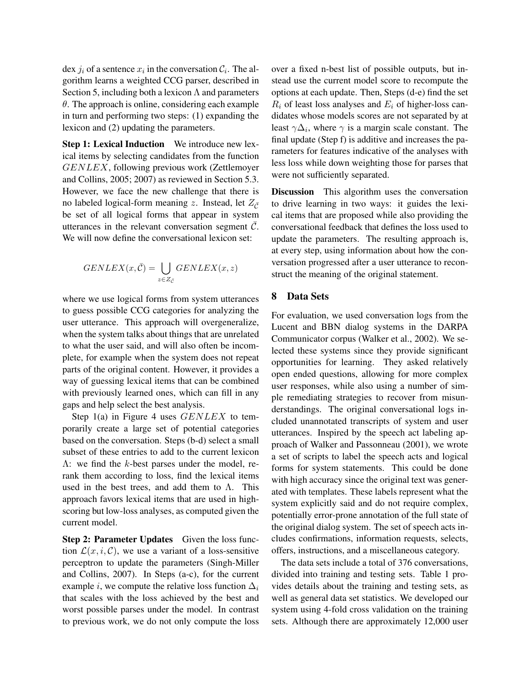dex  $j_i$  of a sentence  $x_i$  in the conversation  $\mathcal{C}_i$ . The algorithm learns a weighted CCG parser, described in Section 5, including both a lexicon  $\Lambda$  and parameters  $\theta$ . The approach is online, considering each example in turn and performing two steps: (1) expanding the lexicon and (2) updating the parameters.

**Step 1: Lexical Induction** We introduce new lexical items by selecting candidates from the function GENLEX, following previous work (Zettlemoyer and Collins, 2005; 2007) as reviewed in Section 5.3. However, we face the new challenge that there is no labeled logical-form meaning z. Instead, let  $Z_{\bar{C}}$ be set of all logical forms that appear in system utterances in the relevant conversation segment  $\mathcal{C}$ . We will now define the conversational lexicon set:

$$
GENLEX(x, \overline{C}) = \bigcup_{z \in Z_{\overline{C}}} GENLEX(x, z)
$$

where we use logical forms from system utterances to guess possible CCG categories for analyzing the user utterance. This approach will overgeneralize, when the system talks about things that are unrelated to what the user said, and will also often be incomplete, for example when the system does not repeat parts of the original content. However, it provides a way of guessing lexical items that can be combined with previously learned ones, which can fill in any gaps and help select the best analysis.

Step  $1(a)$  in Figure 4 uses  $GENLEX$  to temporarily create a large set of potential categories based on the conversation. Steps (b-d) select a small subset of these entries to add to the current lexicon Λ: we find the k-best parses under the model, rerank them according to loss, find the lexical items used in the best trees, and add them to  $\Lambda$ . This approach favors lexical items that are used in highscoring but low-loss analyses, as computed given the current model.

**Step 2: Parameter Updates** Given the loss function  $\mathcal{L}(x, i, \mathcal{C})$ , we use a variant of a loss-sensitive perceptron to update the parameters (Singh-Miller and Collins, 2007). In Steps (a-c), for the current example *i*, we compute the relative loss function  $\Delta_i$ that scales with the loss achieved by the best and worst possible parses under the model. In contrast to previous work, we do not only compute the loss

over a fixed n-best list of possible outputs, but instead use the current model score to recompute the options at each update. Then, Steps (d-e) find the set  $R_i$  of least loss analyses and  $E_i$  of higher-loss candidates whose models scores are not separated by at least  $\gamma \Delta_i$ , where  $\gamma$  is a margin scale constant. The final update (Step f) is additive and increases the parameters for features indicative of the analyses with less loss while down weighting those for parses that were not sufficiently separated.

Discussion This algorithm uses the conversation to drive learning in two ways: it guides the lexical items that are proposed while also providing the conversational feedback that defines the loss used to update the parameters. The resulting approach is, at every step, using information about how the conversation progressed after a user utterance to reconstruct the meaning of the original statement.

## 8 Data Sets

For evaluation, we used conversation logs from the Lucent and BBN dialog systems in the DARPA Communicator corpus (Walker et al., 2002). We selected these systems since they provide significant opportunities for learning. They asked relatively open ended questions, allowing for more complex user responses, while also using a number of simple remediating strategies to recover from misunderstandings. The original conversational logs included unannotated transcripts of system and user utterances. Inspired by the speech act labeling approach of Walker and Passonneau (2001), we wrote a set of scripts to label the speech acts and logical forms for system statements. This could be done with high accuracy since the original text was generated with templates. These labels represent what the system explicitly said and do not require complex, potentially error-prone annotation of the full state of the original dialog system. The set of speech acts includes confirmations, information requests, selects, offers, instructions, and a miscellaneous category.

The data sets include a total of 376 conversations, divided into training and testing sets. Table 1 provides details about the training and testing sets, as well as general data set statistics. We developed our system using 4-fold cross validation on the training sets. Although there are approximately 12,000 user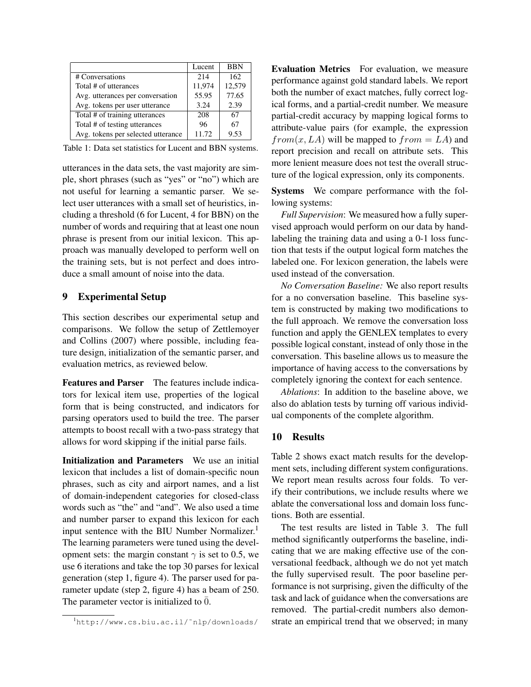|                                    | Lucent | <b>BBN</b> |
|------------------------------------|--------|------------|
| # Conversations                    | 2.14   | 162        |
| Total # of utterances              | 11.974 | 12,579     |
| Avg. utterances per conversation   | 55.95  | 77.65      |
| Avg. tokens per user utterance     | 3.24   | 2.39       |
| Total # of training utterances     | 208    | 67         |
| Total # of testing utterances      | 96     | 67         |
| Avg. tokens per selected utterance | 11.72  | 9.53       |

Table 1: Data set statistics for Lucent and BBN systems.

utterances in the data sets, the vast majority are simple, short phrases (such as "yes" or "no") which are not useful for learning a semantic parser. We select user utterances with a small set of heuristics, including a threshold (6 for Lucent, 4 for BBN) on the number of words and requiring that at least one noun phrase is present from our initial lexicon. This approach was manually developed to perform well on the training sets, but is not perfect and does introduce a small amount of noise into the data.

# 9 Experimental Setup

This section describes our experimental setup and comparisons. We follow the setup of Zettlemoyer and Collins (2007) where possible, including feature design, initialization of the semantic parser, and evaluation metrics, as reviewed below.

Features and Parser The features include indicators for lexical item use, properties of the logical form that is being constructed, and indicators for parsing operators used to build the tree. The parser attempts to boost recall with a two-pass strategy that allows for word skipping if the initial parse fails.

Initialization and Parameters We use an initial lexicon that includes a list of domain-specific noun phrases, such as city and airport names, and a list of domain-independent categories for closed-class words such as "the" and "and". We also used a time and number parser to expand this lexicon for each input sentence with the BIU Number Normalizer.<sup>1</sup> The learning parameters were tuned using the development sets: the margin constant  $\gamma$  is set to 0.5, we use 6 iterations and take the top 30 parses for lexical generation (step 1, figure 4). The parser used for parameter update (step 2, figure 4) has a beam of 250. The parameter vector is initialized to  $\overline{0}$ .

Evaluation Metrics For evaluation, we measure performance against gold standard labels. We report both the number of exact matches, fully correct logical forms, and a partial-credit number. We measure partial-credit accuracy by mapping logical forms to attribute-value pairs (for example, the expression  $from(x, LA)$  will be mapped to  $from = LA$ ) and report precision and recall on attribute sets. This more lenient measure does not test the overall structure of the logical expression, only its components.

Systems We compare performance with the following systems:

*Full Supervision*: We measured how a fully supervised approach would perform on our data by handlabeling the training data and using a 0-1 loss function that tests if the output logical form matches the labeled one. For lexicon generation, the labels were used instead of the conversation.

*No Conversation Baseline:* We also report results for a no conversation baseline. This baseline system is constructed by making two modifications to the full approach. We remove the conversation loss function and apply the GENLEX templates to every possible logical constant, instead of only those in the conversation. This baseline allows us to measure the importance of having access to the conversations by completely ignoring the context for each sentence.

*Ablations*: In addition to the baseline above, we also do ablation tests by turning off various individual components of the complete algorithm.

#### 10 Results

Table 2 shows exact match results for the development sets, including different system configurations. We report mean results across four folds. To verify their contributions, we include results where we ablate the conversational loss and domain loss functions. Both are essential.

The test results are listed in Table 3. The full method significantly outperforms the baseline, indicating that we are making effective use of the conversational feedback, although we do not yet match the fully supervised result. The poor baseline performance is not surprising, given the difficulty of the task and lack of guidance when the conversations are removed. The partial-credit numbers also demonstrate an empirical trend that we observed; in many

<sup>1</sup>http://www.cs.biu.ac.il/˜nlp/downloads/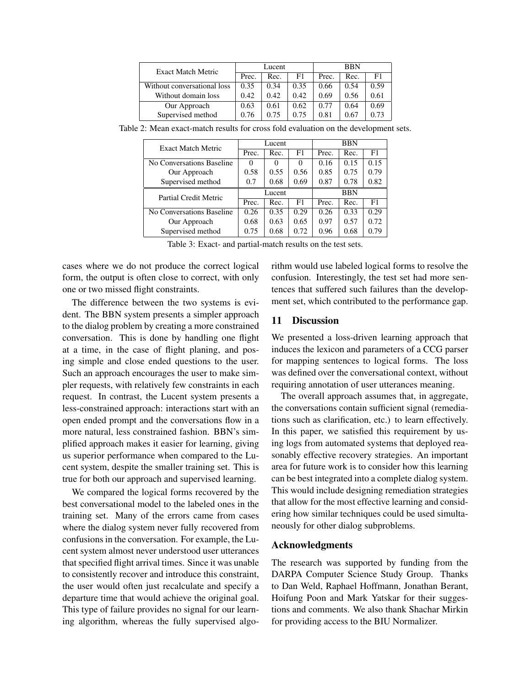| Exact Match Metric          | Lucent |      |      | <b>BBN</b> |      |      |
|-----------------------------|--------|------|------|------------|------|------|
|                             | Prec.  | Rec. | F1   | Prec.      | Rec. | F1   |
| Without conversational loss | 0.35   | 0.34 | 0.35 | 0.66       | 0.54 | 0.59 |
| Without domain loss         | 0.42   | 0.42 | 0.42 | 0.69       | 0.56 | 0.61 |
| Our Approach                | 0.63   | 0.61 | 0.62 | 0.77       | 0.64 | 0.69 |
| Supervised method           | 0.76   | 0.75 | 0.75 | 0.81       | 0.67 | 0.73 |

Table 2: Mean exact-match results for cross fold evaluation on the development sets.

| <b>Exact Match Metric</b> | Lucent |          |          | <b>BBN</b> |      |      |
|---------------------------|--------|----------|----------|------------|------|------|
|                           | Prec.  | Rec.     | F1       | Prec.      | Rec. | F1   |
| No Conversations Baseline |        | $\theta$ | $\Omega$ | 0.16       | 0.15 | 0.15 |
| Our Approach              | 0.58   | 0.55     | 0.56     | 0.85       | 0.75 | 0.79 |
| Supervised method         | 0.7    | 0.68     | 0.69     | 0.87       | 0.78 | 0.82 |
| Partial Credit Metric     | Lucent |          |          | <b>BBN</b> |      |      |
|                           | Prec.  | Rec.     | F1       | Prec.      | Rec. | F1   |
| No Conversations Baseline | 0.26   | 0.35     | 0.29     | 0.26       | 0.33 | 0.29 |
| Our Approach              | 0.68   | 0.63     | 0.65     | 0.97       | 0.57 | 0.72 |
| Supervised method         | 0.75   | 0.68     | 0.72     | 0.96       | 0.68 | 0.79 |

Table 3: Exact- and partial-match results on the test sets.

cases where we do not produce the correct logical form, the output is often close to correct, with only one or two missed flight constraints.

The difference between the two systems is evident. The BBN system presents a simpler approach to the dialog problem by creating a more constrained conversation. This is done by handling one flight at a time, in the case of flight planing, and posing simple and close ended questions to the user. Such an approach encourages the user to make simpler requests, with relatively few constraints in each request. In contrast, the Lucent system presents a less-constrained approach: interactions start with an open ended prompt and the conversations flow in a more natural, less constrained fashion. BBN's simplified approach makes it easier for learning, giving us superior performance when compared to the Lucent system, despite the smaller training set. This is true for both our approach and supervised learning.

We compared the logical forms recovered by the best conversational model to the labeled ones in the training set. Many of the errors came from cases where the dialog system never fully recovered from confusions in the conversation. For example, the Lucent system almost never understood user utterances that specified flight arrival times. Since it was unable to consistently recover and introduce this constraint, the user would often just recalculate and specify a departure time that would achieve the original goal. This type of failure provides no signal for our learning algorithm, whereas the fully supervised algorithm would use labeled logical forms to resolve the confusion. Interestingly, the test set had more sentences that suffered such failures than the development set, which contributed to the performance gap.

#### 11 Discussion

We presented a loss-driven learning approach that induces the lexicon and parameters of a CCG parser for mapping sentences to logical forms. The loss was defined over the conversational context, without requiring annotation of user utterances meaning.

The overall approach assumes that, in aggregate, the conversations contain sufficient signal (remediations such as clarification, etc.) to learn effectively. In this paper, we satisfied this requirement by using logs from automated systems that deployed reasonably effective recovery strategies. An important area for future work is to consider how this learning can be best integrated into a complete dialog system. This would include designing remediation strategies that allow for the most effective learning and considering how similar techniques could be used simultaneously for other dialog subproblems.

#### Acknowledgments

The research was supported by funding from the DARPA Computer Science Study Group. Thanks to Dan Weld, Raphael Hoffmann, Jonathan Berant, Hoifung Poon and Mark Yatskar for their suggestions and comments. We also thank Shachar Mirkin for providing access to the BIU Normalizer.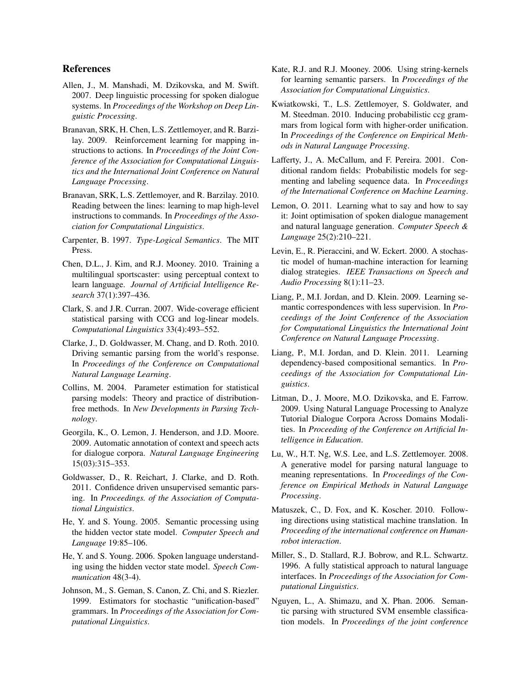#### References

- Allen, J., M. Manshadi, M. Dzikovska, and M. Swift. 2007. Deep linguistic processing for spoken dialogue systems. In *Proceedings of the Workshop on Deep Linguistic Processing*.
- Branavan, SRK, H. Chen, L.S. Zettlemoyer, and R. Barzilay. 2009. Reinforcement learning for mapping instructions to actions. In *Proceedings of the Joint Conference of the Association for Computational Linguistics and the International Joint Conference on Natural Language Processing*.
- Branavan, SRK, L.S. Zettlemoyer, and R. Barzilay. 2010. Reading between the lines: learning to map high-level instructions to commands. In *Proceedings of the Association for Computational Linguistics*.
- Carpenter, B. 1997. *Type-Logical Semantics*. The MIT Press.
- Chen, D.L., J. Kim, and R.J. Mooney. 2010. Training a multilingual sportscaster: using perceptual context to learn language. *Journal of Artificial Intelligence Research* 37(1):397–436.
- Clark, S. and J.R. Curran. 2007. Wide-coverage efficient statistical parsing with CCG and log-linear models. *Computational Linguistics* 33(4):493–552.
- Clarke, J., D. Goldwasser, M. Chang, and D. Roth. 2010. Driving semantic parsing from the world's response. In *Proceedings of the Conference on Computational Natural Language Learning*.
- Collins, M. 2004. Parameter estimation for statistical parsing models: Theory and practice of distributionfree methods. In *New Developments in Parsing Technology*.
- Georgila, K., O. Lemon, J. Henderson, and J.D. Moore. 2009. Automatic annotation of context and speech acts for dialogue corpora. *Natural Language Engineering* 15(03):315–353.
- Goldwasser, D., R. Reichart, J. Clarke, and D. Roth. 2011. Confidence driven unsupervised semantic parsing. In *Proceedings. of the Association of Computational Linguistics*.
- He, Y. and S. Young. 2005. Semantic processing using the hidden vector state model. *Computer Speech and Language* 19:85–106.
- He, Y. and S. Young. 2006. Spoken language understanding using the hidden vector state model. *Speech Communication* 48(3-4).
- Johnson, M., S. Geman, S. Canon, Z. Chi, and S. Riezler. 1999. Estimators for stochastic "unification-based" grammars. In *Proceedings of the Association for Computational Linguistics*.
- Kate, R.J. and R.J. Mooney. 2006. Using string-kernels for learning semantic parsers. In *Proceedings of the Association for Computational Linguistics*.
- Kwiatkowski, T., L.S. Zettlemoyer, S. Goldwater, and M. Steedman. 2010. Inducing probabilistic ccg grammars from logical form with higher-order unification. In *Proceedings of the Conference on Empirical Methods in Natural Language Processing*.
- Lafferty, J., A. McCallum, and F. Pereira. 2001. Conditional random fields: Probabilistic models for segmenting and labeling sequence data. In *Proceedings of the International Conference on Machine Learning*.
- Lemon, O. 2011. Learning what to say and how to say it: Joint optimisation of spoken dialogue management and natural language generation. *Computer Speech & Language* 25(2):210–221.
- Levin, E., R. Pieraccini, and W. Eckert. 2000. A stochastic model of human-machine interaction for learning dialog strategies. *IEEE Transactions on Speech and Audio Processing* 8(1):11–23.
- Liang, P., M.I. Jordan, and D. Klein. 2009. Learning semantic correspondences with less supervision. In *Proceedings of the Joint Conference of the Association for Computational Linguistics the International Joint Conference on Natural Language Processing*.
- Liang, P., M.I. Jordan, and D. Klein. 2011. Learning dependency-based compositional semantics. In *Proceedings of the Association for Computational Linguistics*.
- Litman, D., J. Moore, M.O. Dzikovska, and E. Farrow. 2009. Using Natural Language Processing to Analyze Tutorial Dialogue Corpora Across Domains Modalities. In *Proceeding of the Conference on Artificial Intelligence in Education*.
- Lu, W., H.T. Ng, W.S. Lee, and L.S. Zettlemoyer. 2008. A generative model for parsing natural language to meaning representations. In *Proceedings of the Conference on Empirical Methods in Natural Language Processing*.
- Matuszek, C., D. Fox, and K. Koscher. 2010. Following directions using statistical machine translation. In *Proceeding of the international conference on Humanrobot interaction*.
- Miller, S., D. Stallard, R.J. Bobrow, and R.L. Schwartz. 1996. A fully statistical approach to natural language interfaces. In *Proceedings of the Association for Computational Linguistics*.
- Nguyen, L., A. Shimazu, and X. Phan. 2006. Semantic parsing with structured SVM ensemble classification models. In *Proceedings of the joint conference*